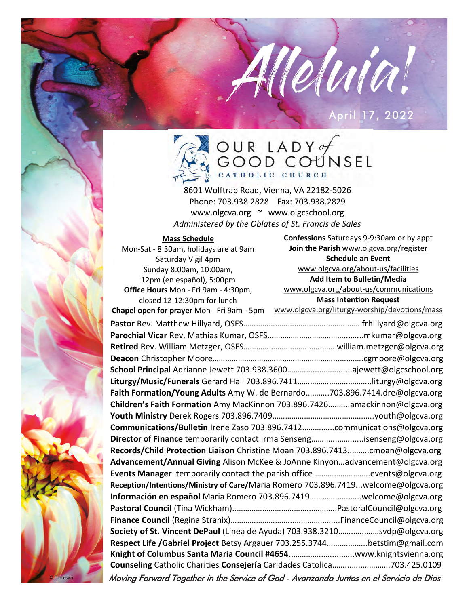### April 17, 2022

Melvia!



8601 Wolftrap Road, Vienna, VA 22182-5026 Phone: 703.938.2828 Fax: 703.938.2829 [www.olgcva.org](http://WWW.OLGCVA.ORG) ~ [www.olgcschool.org](http://www.olgcschool.org)

*Administered by the Oblates of St. Francis de Sales*

| <b>Mass Schedule</b>                       | Confessions Saturdays 9-9:30am or by appt                                               |
|--------------------------------------------|-----------------------------------------------------------------------------------------|
| Mon-Sat - 8:30am, holidays are at 9am      | Join the Parish www.olgcva.org/register                                                 |
| Saturday Vigil 4pm                         | <b>Schedule an Event</b>                                                                |
| Sunday 8:00am, 10:00am,                    | www.olgcva.org/about-us/facilities                                                      |
| 12pm (en español), 5:00pm                  | Add Item to Bulletin/Media                                                              |
| Office Hours Mon - Fri 9am - 4:30pm,       | www.olgcva.org/about-us/communications                                                  |
| closed 12-12:30pm for lunch                | <b>Mass Intention Request</b>                                                           |
| Chapel open for prayer Mon - Fri 9am - 5pm | www.olgcva.org/liturgy-worship/devotions/mass                                           |
|                                            |                                                                                         |
|                                            |                                                                                         |
|                                            |                                                                                         |
|                                            |                                                                                         |
|                                            |                                                                                         |
|                                            |                                                                                         |
|                                            | Faith Formation/Young Adults Amy W. de Bernardo703.896.7414.dre@olgcva.org              |
|                                            | Children's Faith Formation Amy MacKinnon 703.896.7426amackinnon@olgcva.org              |
|                                            |                                                                                         |
|                                            | Communications/Bulletin Irene Zaso 703.896.7412communications@olgcva.org                |
|                                            | Director of Finance temporarily contact Irma Sensengisenseng@olgcva.org                 |
|                                            | Records/Child Protection Liaison Christine Moan 703.896.7413cmoan@olgcva.org            |
|                                            | Advancement/Annual Giving Alison McKee & JoAnne Kinyonadvancement@olgcva.org            |
|                                            | Events Manager temporarily contact the parish office events@olgcva.org                  |
|                                            | Reception/Intentions/Ministry of Care/Maria Romero 703.896.7419welcome@olgcva.org       |
|                                            | Información en español Maria Romero 703.896.7419welcome@olgcva.org                      |
|                                            |                                                                                         |
|                                            |                                                                                         |
|                                            | Society of St. Vincent DePaul (Linea de Ayuda) 703.938.3210svdp@olgcva.org              |
|                                            | Respect Life /Gabriel Project Betsy Argauer 703.255.3744betstim@gmail.com               |
|                                            |                                                                                         |
|                                            | Counseling Catholic Charities Consejería Caridades Catolica703.425.0109                 |
|                                            | Moving Forward Together in the Service of God - Avanzando Juntos en el Servicio de Dios |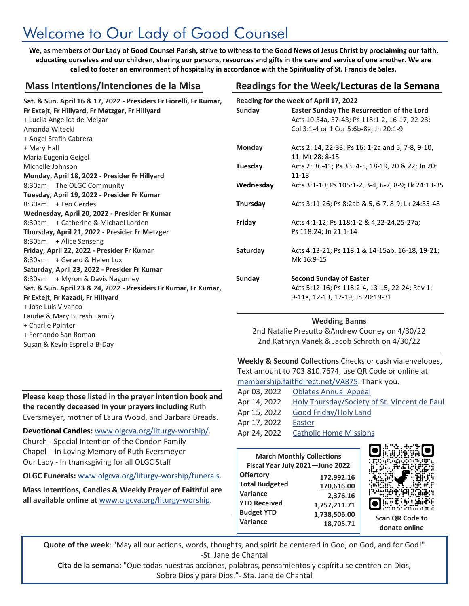# Welcome to Our Lady of Good Counsel

**We, as members of Our Lady of Good Counsel Parish, strive to witness to the Good News of Jesus Christ by proclaiming our faith, educating ourselves and our children, sharing our persons, resources and gifts in the care and service of one another. We are called to foster an environment of hospitality in accordance with the Spirituality of St. Francis de Sales.**

| <b>Mass Intentions/Intenciones de la Misa</b>                      |  |  |  |
|--------------------------------------------------------------------|--|--|--|
| Sat. & Sun. April 16 & 17, 2022 - Presiders Fr Fiorelli, Fr Kumar, |  |  |  |
| Fr Extejt, Fr Hillyard, Fr Metzger, Fr Hillyard                    |  |  |  |
| + Lucila Angelica de Melgar                                        |  |  |  |
| Amanda Witecki                                                     |  |  |  |
| + Angel Srafin Cabrera                                             |  |  |  |
| + Mary Hall                                                        |  |  |  |
| Maria Eugenia Geigel                                               |  |  |  |
| Michelle Johnson                                                   |  |  |  |
| Monday, April 18, 2022 - Presider Fr Hillyard                      |  |  |  |
| 8:30am The OLGC Community                                          |  |  |  |
| Tuesday, April 19, 2022 - Presider Fr Kumar                        |  |  |  |
| 8:30am + Leo Gerdes                                                |  |  |  |
| Wednesday, April 20, 2022 - Presider Fr Kumar                      |  |  |  |
| 8:30am + Catherine & Michael Lorden                                |  |  |  |
| Thursday, April 21, 2022 - Presider Fr Metzger                     |  |  |  |
| 8:30am + Alice Senseng                                             |  |  |  |
| Friday, April 22, 2022 - Presider Fr Kumar                         |  |  |  |
| 8:30am + Gerard & Helen Lux                                        |  |  |  |
| Saturday, April 23, 2022 - Presider Fr Kumar                       |  |  |  |
| 8:30am + Myron & Davis Nagurney                                    |  |  |  |
| Sat. & Sun. April 23 & 24, 2022 - Presiders Fr Kumar, Fr Kumar,    |  |  |  |
| Fr Extejt, Fr Kazadi, Fr Hillyard                                  |  |  |  |
| + Jose Luis Vivanco                                                |  |  |  |
| Laudie & Mary Buresh Family                                        |  |  |  |
| + Charlie Pointer                                                  |  |  |  |
| + Fernando San Roman                                               |  |  |  |
| Susan & Kevin Esprella B-Day                                       |  |  |  |

**Please keep those listed in the prayer intention book and the recently deceased in your prayers including** Ruth Eversmeyer, mother of Laura Wood, and Barbara Breads.

**Devotional Candles:** [www.olgcva.org/liturgy](http://www.olgcva.org/liturgy-worship/)-worship/. Church - Special Intention of the Condon Family Chapel - In Loving Memory of Ruth Eversmeyer Our Lady - In thanksgiving for all OLGC Staff

**OLGC Funerals:** [www.olgcva.org/liturgy](https://www.olgcva.org/liturgy-worship/funerals)-worship/funerals.

**Mass Intentions, Candles & Weekly Prayer of Faithful are all available online at** [www.olgcva.org/liturgy](http://www.olgcva.org/liturgy-worship)-worship.

### Readings for the Week/Lecturas de la Semana

|               | Reading for the week of April 17, 2022                                                                                                      |
|---------------|---------------------------------------------------------------------------------------------------------------------------------------------|
| Sunday        | <b>Easter Sunday The Resurrection of the Lord</b><br>Acts 10:34a, 37-43; Ps 118:1-2, 16-17, 22-23;<br>Col 3:1-4 or 1 Cor 5:6b-8a; Jn 20:1-9 |
| <b>Monday</b> | Acts 2: 14, 22-33; Ps 16: 1-2a and 5, 7-8, 9-10,<br>11; Mt 28: 8-15                                                                         |
| Tuesday       | Acts 2: 36-41; Ps 33: 4-5, 18-19, 20 & 22; Jn 20:<br>$11 - 18$                                                                              |
| Wednesday     | Acts 3:1-10; Ps 105:1-2, 3-4, 6-7, 8-9; Lk 24:13-35                                                                                         |
| Thursday      | Acts 3:11-26; Ps 8:2ab & 5, 6-7, 8-9; Lk 24:35-48                                                                                           |
| Friday        | Acts 4:1-12; Ps 118:1-2 & 4,22-24,25-27a;<br>Ps 118:24; Jn 21:1-14                                                                          |
| Saturday      | Acts 4:13-21; Ps 118:1 & 14-15ab, 16-18, 19-21;<br>Mk 16:9-15                                                                               |
| Sunday        | <b>Second Sunday of Easter</b><br>Acts 5:12-16; Ps 118:2-4, 13-15, 22-24; Rev 1:<br>9-11a, 12-13, 17-19; Jn 20:19-31                        |

#### **Wedding Banns**

2nd Natalie Presutto &Andrew Cooney on 4/30/22 2nd Kathryn Vanek & Jacob Schroth on 4/30/22

**Weekly & Second Collections** Checks or cash via envelopes, Text amount to 703.810.7674, use QR Code or online at [membership.faithdirect.net/VA875.](https://membership.faithdirect.net/enroll/VA875) Thank you.

| Apr 03, 2022 | <b>Oblates Annual Appeal</b>                 |
|--------------|----------------------------------------------|
| Apr 14, 2022 | Holy Thursday/Society of St. Vincent de Paul |
| Apr 15, 2022 | Good Friday/Holy Land                        |
| Apr 17, 2022 | Easter                                       |
| Apr 24, 2022 | <b>Catholic Home Missions</b>                |

*<u>Allen Allen and Allen and Allen and Allen and Allen and Allen and Allen and Allen and Allen and Allen and Allen and Allen and Allen and Allen and Allen and Allen and Allen and Allen and Allen and Allen and Allen and All*</u>

| <b>March Monthly Collections</b><br>Fiscal Year July 2021-June 2022                               |                                                                      |                        |
|---------------------------------------------------------------------------------------------------|----------------------------------------------------------------------|------------------------|
| <b>Offertory</b><br><b>Total Budgeted</b><br>Variance<br><b>YTD Received</b><br><b>Budget YTD</b> | 172,992.16<br>170,616.00<br>2,376.16<br>1,757,211.71<br>1,738,506.00 | <b>Scan QR Code to</b> |
| Variance                                                                                          | 18,705.71                                                            | donate online          |

**Quote of the week**: "May all our actions, words, thoughts, and spirit be centered in God, on God, and for God!" -St. Jane de Chantal

**Cita de la semana**: "Que todas nuestras acciones, palabras, pensamientos y espíritu se centren en Dios, Sobre Dios y para Dios."- Sta. Jane de Chantal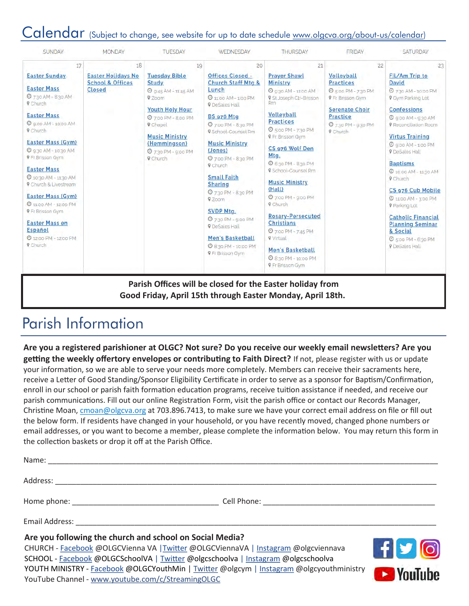### Calendar (Subject to change, see website for up to date schedule [www.olgcva.org/about-us/calendar\)](https://www.olgcva.org/about-us/calendar)

| <b>SUNDAY</b>                                                                                                                                                                                                                                                                                                                                                                                                                                                                                                    | <b>MONDAY</b>                                                             | <b>TUESDAY</b>                                                                                                                                                                                                                                | <b>WEDNESDAY</b>                                                                                                                                                                                                                                                                                                                                                                                                                                                                                                                         | <b>THURSDAY</b>                                                                                                                                                                                                                                                                                                                                                                                                                                                                                                                                  | <b>FRIDAY</b>                                                                                                                                                                      | <b>SATURDAY</b>                                                                                                                                                                                                                                                                                                                                                                                                                                                                                                 |
|------------------------------------------------------------------------------------------------------------------------------------------------------------------------------------------------------------------------------------------------------------------------------------------------------------------------------------------------------------------------------------------------------------------------------------------------------------------------------------------------------------------|---------------------------------------------------------------------------|-----------------------------------------------------------------------------------------------------------------------------------------------------------------------------------------------------------------------------------------------|------------------------------------------------------------------------------------------------------------------------------------------------------------------------------------------------------------------------------------------------------------------------------------------------------------------------------------------------------------------------------------------------------------------------------------------------------------------------------------------------------------------------------------------|--------------------------------------------------------------------------------------------------------------------------------------------------------------------------------------------------------------------------------------------------------------------------------------------------------------------------------------------------------------------------------------------------------------------------------------------------------------------------------------------------------------------------------------------------|------------------------------------------------------------------------------------------------------------------------------------------------------------------------------------|-----------------------------------------------------------------------------------------------------------------------------------------------------------------------------------------------------------------------------------------------------------------------------------------------------------------------------------------------------------------------------------------------------------------------------------------------------------------------------------------------------------------|
| 17                                                                                                                                                                                                                                                                                                                                                                                                                                                                                                               | 18                                                                        | 19                                                                                                                                                                                                                                            | 20                                                                                                                                                                                                                                                                                                                                                                                                                                                                                                                                       | 21                                                                                                                                                                                                                                                                                                                                                                                                                                                                                                                                               | 22                                                                                                                                                                                 | 23                                                                                                                                                                                                                                                                                                                                                                                                                                                                                                              |
| <b>Easter Sunday</b><br><b>Easter Mass</b><br>2 7:30 AM - 8:30 AM<br><b>9</b> Church<br><b>Easter Mass</b><br><b>@</b> 9.00 AM - 10:00 AM<br>9 Church<br><b>Easter Mass (Gym)</b><br><b>©</b> 9:30 AM - 10:30 AM<br><b>9 Fr Brisson Gym</b><br><b>Easter Mass</b><br><b>@</b> 10:30 AM - 11:30 AM<br><b>9</b> Church & Livestream<br><b>Easter Mass (Gym)</b><br><b>@</b> 11:00 AM - 12:00 PM<br><b>9 Fr Brisson Gym</b><br><b>Easter Mass en</b><br><b>Español</b><br><b>49 12:00 PM - 12:00 PM</b><br>9 Church | <b>Easter Holidays No</b><br><b>School &amp; Offices</b><br><b>Closed</b> | <b>Tuesday Bible</b><br><b>Study</b><br>$Q$ 9:45 AM - 11:45 AM<br>9 Zoom<br><b>Youth Holy Hour</b><br><b>0</b> 7:00 PM - 8:00 PM<br><b>V</b> Chapel<br><b>Music Ministry</b><br>(Hemmingson)<br><b>0</b> 7:30 PM - 9:00 PM<br><b>V</b> Church | <b>Offices Closed -</b><br><b>Church Staff Mtg &amp;</b><br>Lunch<br><b>@</b> 11:00 AM - 1:00 PM<br><b>V</b> DeSales Hall<br><b>BS 976 Mtg</b><br><b>4 7:00 PM - 8:30 PM</b><br>9.School-Counsel Rm<br><b>Music Ministry</b><br>(Jones)<br><b>4 7:00 PM - 8:30 PM</b><br><b>V</b> Church<br><b>Small Faith</b><br><b>Sharing</b><br><b>4 7:30 PM - 8:30 PM</b><br>9 Zoom<br><b>SVDP Mtg.</b><br><b>0</b> 7:30 PM - 9:00 PM<br><b>V</b> DeSales Hall<br><b>Men's Basketball</b><br><b>0</b> 8:30 PM - 10:00 PM<br><b>V</b> Fr Brisson Gym | <b>Prayer Shawl</b><br><b>Ministry</b><br><b>O</b> 9:30 AM - 11:00 AM<br>9 St Joseph Ctr-Brisson<br><b>Rm</b><br><b>Volleyball</b><br><b>Practices</b><br><b>4</b> 5:00 PM - 7:30 PM<br><b>9 Fr. Brisson Gym</b><br>CS 976 Wolf Den<br>Mtg.<br><b>©</b> 6:30 PM - 8:30 PM<br>9 School-Counsel Rm<br><b>Music Ministry</b><br>(Hall)<br>@ 7:00 PM - 9:00 PM<br>9 Church<br><b>Rosary-Persecuted</b><br><b>Christians</b><br><b>4</b> 7:00 PM - 7:45 PM<br>9 Virtual<br><b>Men's Basketball</b><br>@ 8:30 PM - 10:00 PM<br><b>9 Fr Brisson Gym</b> | Volleyball<br><b>Practices</b><br><b>@</b> 500 PM - 7:30 PM<br><b>9 Fr. Brisson Gym</b><br><b>Serenate Choir</b><br><b>Practice</b><br><b>4 730 PM - 930 PM</b><br><b>V</b> Church | Fil/Am Trip to<br><b>David</b><br>2 730 AM - 10:00 PM<br><b>9 Gym Parking Lot</b><br><b>Confessions</b><br>$Q$ goo AM - 9:30 AM<br><b>9</b> Reconciliation Room<br><b>Virtus Training</b><br><b>O</b> 9:00 AM - 1:00 PM<br><b>9</b> DeSales Hall<br><b>Baptisms</b><br>2 10:00 AM - 11:30 AM<br><b>9</b> Church<br>CS 976 Cub Mobile<br>@ 11:00 AM - 3:00 PM<br><b>V</b> Parking Lot<br><b>Catholic Financial</b><br><b>Planning Seminar</b><br>& Social<br><b>O</b> 5:00 PM - 6:30 PM<br><b>V</b> DeSales Hall |

### Parish Information

YouTube Channel - [www.youtube.com/c/StreamingOLGC](https://www.youtube.com/c/StreamingOLGC)

**Are you a registered parishioner at OLGC? Not sure? Do you receive our weekly email newsletters? Are you getting the weekly offertory envelopes or contributing to Faith Direct?** If not, please register with us or update your information, so we are able to serve your needs more completely. Members can receive their sacraments here, receive a Letter of Good Standing/Sponsor Eligibility Certificate in order to serve as a sponsor for Baptism/Confirmation, enroll in our school or parish faith formation education programs, receive tuition assistance if needed, and receive our parish communications. Fill out our online Registration Form, visit the parish office or contact our Records Manager, Christine Moan, [cmoan@olgcva.org](mailto:cmoan@olgcva.org) at 703.896.7413, to make sure we have your correct email address on file or fill out the below form. If residents have changed in your household, or you have recently moved, changed phone numbers or email addresses, or you want to become a member, please complete the information below. You may return this form in the collection baskets or drop it off at the Parish Office.

| Are you following the church and school on Social Media?<br>CHURCH - Facebook @OLGCVienna VA   Twitter @OLGCViennaVA   Instagram @olgcviennava<br>SCHOOL - Facebook @OLGCSchoolVA   Twitter @olgcschoolva   Instagram @olgcschoolva<br>YOUTH MINISTRY - Facebook @OLGCYouthMin   Twitter @olgcym   Instagram @olgcyouthministry | $f$ $\bigcirc$ $\bigcirc$ |
|---------------------------------------------------------------------------------------------------------------------------------------------------------------------------------------------------------------------------------------------------------------------------------------------------------------------------------|---------------------------|

YOUUUNA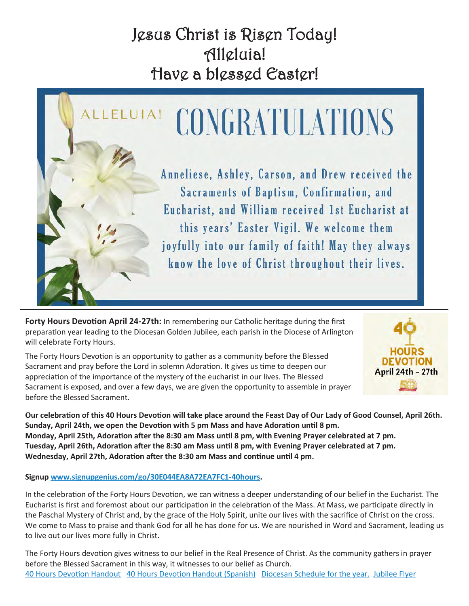# Jesus Christ is Risen Today! Alleluia! Have a blessed Easter!



**Forty Hours Devotion April 24-27th:** In remembering our Catholic heritage during the first preparation year leading to the Diocesan Golden Jubilee, each parish in the Diocese of Arlington will celebrate Forty Hours.

The Forty Hours Devotion is an opportunity to gather as a community before the Blessed Sacrament and pray before the Lord in solemn Adoration. It gives us time to deepen our appreciation of the importance of the mystery of the eucharist in our lives. The Blessed Sacrament is exposed, and over a few days, we are given the opportunity to assemble in prayer before the Blessed Sacrament.



**Our celebration of this 40 Hours Devotion will take place around the Feast Day of Our Lady of Good Counsel, April 26th. Sunday, April 24th, we open the Devotion with 5 pm Mass and have Adoration until 8 pm. Monday, April 25th, Adoration after the 8:30 am Mass until 8 pm, with Evening Prayer celebrated at 7 pm. Tuesday, April 26th, Adoration after the 8:30 am Mass until 8 pm, with Evening Prayer celebrated at 7 pm. Wednesday, April 27th, Adoration after the 8:30 am Mass and continue until 4 pm.**

**Signup [www.signupgenius.com/go/30E044EA8A72EA7FC1](https://www.signupgenius.com/go/30E044EA8A72EA7FC1-40hours)-40hours.** 

In the celebration of the Forty Hours Devotion, we can witness a deeper understanding of our belief in the Eucharist. The Eucharist is first and foremost about our participation in the celebration of the Mass. At Mass, we participate directly in the Paschal Mystery of Christ and, by the grace of the Holy Spirit, unite our lives with the sacrifice of Christ on the cross. We come to Mass to praise and thank God for all he has done for us. We are nourished in Word and Sacrament, leading us to live out our lives more fully in Christ.

The Forty Hours devotion gives witness to our belief in the Real Presence of Christ. As the community gathers in prayer before the Blessed Sacrament in this way, it witnesses to our belief as Church. [40 Hours Devotion Handout](/fs/resource-manager/view/39b412ea-f3bb-46be-8fe0-705dafef3dd7) [40 Hours Devotion Handout \(Spanish\)](/fs/resource-manager/view/fc378330-8682-47f4-9330-3a0ef2f20abf) [Diocesan Schedule for the year.](https://www.arlingtondiocese.org/fortyhoursdevotionschedule/) [Jubilee Flyer](/fs/resource-manager/view/52417923-e48b-4389-8a8c-d756fb29caec)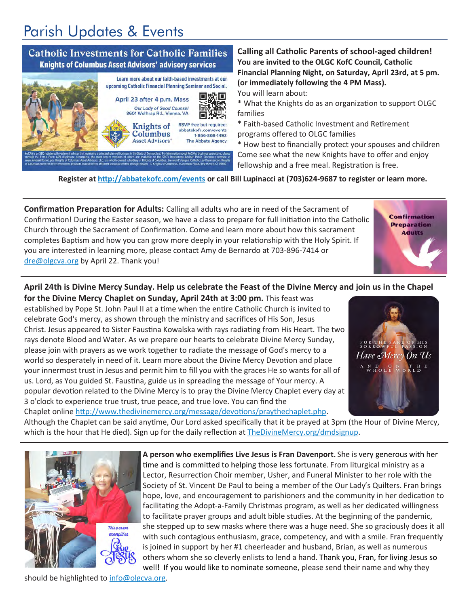# Parish Updates & Events



**Calling all Catholic Parents of school-aged children! You are invited to the OLGC KofC Council, Catholic Financial Planning Night, on Saturday, April 23rd, at 5 pm. (or immediately following the 4 PM Mass).**

You will learn about:

\* What the Knights do as an organization to support OLGC families

\* Faith-based Catholic Investment and Retirement programs offered to OLGC families

\* How best to financially protect your spouses and children Come see what the new Knights have to offer and enjoy fellowship and a free meal. Registration is free.

**Register at <http://abbatekofc.com/events> or call Bill Lupinacci at (703)624-9687 to register or learn more.**

**Confirmation Preparation for Adults:** Calling all adults who are in need of the Sacrament of Confirmation! During the Easter season, we have a class to prepare for full initiation into the Catholic Church through the Sacrament of Confirmation. Come and learn more about how this sacrament completes Baptism and how you can grow more deeply in your relationship with the Holy Spirit. If you are interested in learning more, please contact Amy de Bernardo at 703-896-7414 or [dre@olgcva.org](mailto:dre@olgcva.org) by April 22. Thank you!

### **April 24th is Divine Mercy Sunday. Help us celebrate the Feast of the Divine Mercy and join us in the Chapel**

**for the Divine Mercy Chaplet on Sunday, April 24th at 3:00 pm.** This feast was established by Pope St. John Paul II at a time when the entire Catholic Church is invited to celebrate God's mercy, as shown through the ministry and sacrifices of His Son, Jesus Christ. Jesus appeared to Sister Faustina Kowalska with rays radiating from His Heart. The two rays denote Blood and Water. As we prepare our hearts to celebrate Divine Mercy Sunday, please join with prayers as we work together to radiate the message of God's mercy to a world so desperately in need of it. Learn more about the Divine Mercy Devotion and place your innermost trust in Jesus and permit him to fill you with the graces He so wants for all of us. Lord, as You guided St. Faustina, guide us in spreading the message of Your mercy. A popular devotion related to the Divine Mercy is to pray the Divine Mercy Chaplet every day at 3 o'clock to experience true trust, true peace, and true love. You can find the Chaplet online [http://www.thedivinemercy.org/message/devotions/praythechaplet.php.](http://www.thedivinemercy.org/message/devotions/praythechaplet.php) 

Have Mercy On Us A N D O N T W HOLE WORL

**Confirmation Preparation Adults** 

Although the Chaplet can be said anytime, Our Lord asked specifically that it be prayed at 3pm (the Hour of Divine Mercy, which is the hour that He died). Sign up for the daily reflection at [TheDivineMercy.org/dmdsignup.](TheDivineMercy.org/dmdsignup)



**A person who exemplifies Live Jesus is Fran Davenport.** She is very generous with her time and is committed to helping those less fortunate. From liturgical ministry as a Lector, Resurrection Choir member, Usher, and Funeral Minister to her role with the Society of St. Vincent De Paul to being a member of the Our Lady's Quilters. Fran brings hope, love, and encouragement to parishioners and the community in her dedication to facilitating the Adopt-a-Family Christmas program, as well as her dedicated willingness to facilitate prayer groups and adult bible studies. At the beginning of the pandemic, she stepped up to sew masks where there was a huge need. She so graciously does it all with such contagious enthusiasm, grace, competency, and with a smile. Fran frequently is joined in support by her #1 cheerleader and husband, Brian, as well as numerous others whom she so cleverly enlists to lend a hand. Thank you, Fran, for living Jesus so well! If you would like to nominate someone, please send their name and why they

should be highlighted to info@olgcva.org.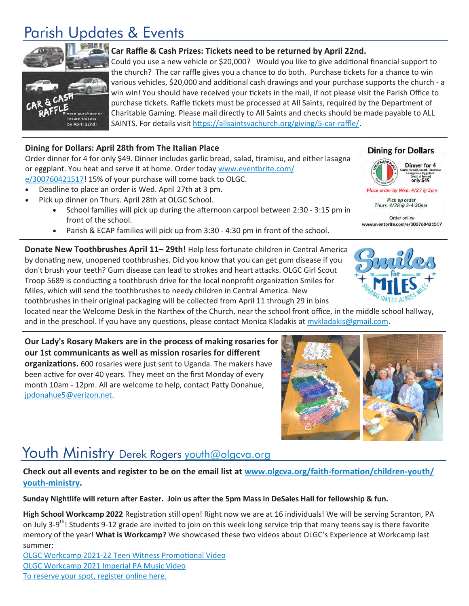## Parish Updates & Events



#### **Car Raffle & Cash Prizes: Tickets need to be returned by April 22nd.**

Could you use a new vehicle or \$20,000? Would you like to give additional financial support to the church? The car raffle gives you a chance to do both. Purchase tickets for a chance to win various vehicles, \$20,000 and additional cash drawings and your purchase supports the church - a win win! You should have received your tickets in the mail, if not please visit the Parish Office to purchase tickets. Raffle tickets must be processed at All Saints, required by the Department of Charitable Gaming. Please mail directly to All Saints and checks should be made payable to ALL SAINTS. For details visit [https://allsaintsvachurch.org/giving/5](https://allsaintsvachurch.org/giving/5-car-raffle/)-car-raffle/.

#### **Dining for Dollars: April 28th from The Italian Place**

Order dinner for 4 for only \$49. Dinner includes garlic bread, salad, tiramisu, and either lasagna or eggplant. You heat and serve it at home. Order today [www.eventbrite.com/](http://www.eventbrite.com/e/300760421517) [e/300760421517!](http://www.eventbrite.com/e/300760421517) 15% of your purchase will come back to OLGC.

- Deadline to place an order is Wed. April 27th at 3 pm.
- Pick up dinner on Thurs. April 28th at OLGC School.
	- School families will pick up during the afternoon carpool between 2:30 3:15 pm in front of the school.
		- Parish & ECAP families will pick up from 3:30 4:30 pm in front of the school.

**Donate New Toothbrushes April 11– 29th!** Help less fortunate children in Central America by donating new, unopened toothbrushes. Did you know that you can get gum disease if you don't brush your teeth? Gum disease can lead to strokes and heart attacks. OLGC Girl Scout Troop 5689 is conducting a toothbrush drive for the local nonprofit organization Smiles for Miles, which will send the toothbrushes to needy children in Central America. New toothbrushes in their original packaging will be collected from April 11 through 29 in bins

located near the Welcome Desk in the Narthex of the Church, near the school front office, in the middle school hallway, and in the preschool. If you have any questions, please contact Monica Kladakis at mykladakis@gmail.com.

**Our Lady's Rosary Makers are in the process of making rosaries for our 1st communicants as well as mission rosaries for different organizations.** 600 rosaries were just sent to Uganda. The makers have been active for over 40 years. They meet on the first Monday of every month 10am - 12pm. All are welcome to help, contact Patty Donahue, [jpdonahue5@verizon.net.](mailto:jpdonahue5@verizon.net)

### Youth Ministry Derek Rogers [youth@olgcva.org](mailto:youth@olgcva.org)

#### **Check out all events and register to be on the email list at [www.olgcva.org/faith](http://www.olgcva.org/faith-formation/children-youth/youth-ministry)-formation/children-youth/ youth-[ministry.](http://www.olgcva.org/faith-formation/children-youth/youth-ministry)**

**Sunday Nightlife will return after Easter. Join us after the 5pm Mass in DeSales Hall for fellowship & fun.** 

**High School Workcamp 2022** Registration still open! Right now we are at 16 individuals! We will be serving Scranton, PA on July 3-9<sup>th</sup>! Students 9-12 grade are invited to join on this week long service trip that many teens say is there favorite memory of the year! **What is Workcamp?** We showcased these two videos about OLGC's Experience at Workcamp last summer:

OLGC Workcamp 2021-[22 Teen Witness Promotional Video](https://www.youtube.com/watch?v=muNO2CBhvd8&ab_channel=OLGCYouthMinistry) [OLGC Workcamp 2021 Imperial PA Music Video](https://www.youtube.com/watch?v=r7_1gXumA6Q&ab_channel=OLGCYouthMinistry) [To reserve your spot, register online here.](https://www.olgcva.org/faith-formation/children-youth/youth-ministry/hs-workcamp/high-school-workcamp-2021-registration/high-school-workcamp-adult-volunteers-2021)





**Dining for Dollars** 

Place order by Wed. 4/27 @ 3pm Pick up order Thurs. 4/28 @ 3-4:30pm Order online www.eventbrite.com/e/300760421517

Dinner for 4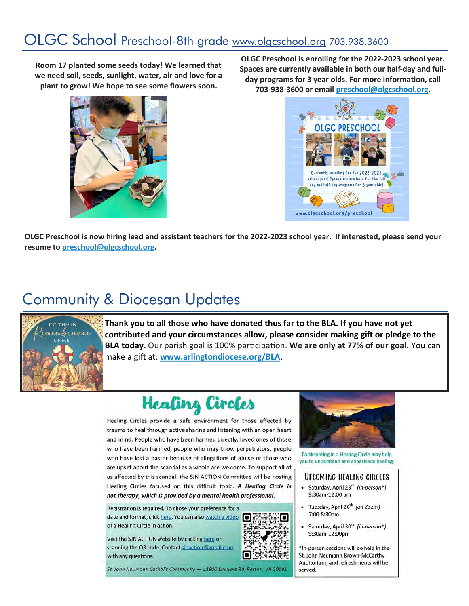## OLGC School Preschool-8th grade [www.olgcschool.org](http://www.olgcschool.org) 703.938.3600

**Room 17 planted some seeds today! We learned that we need soil, seeds, sunlight, water, air and love for a plant to grow! We hope to see some flowers soon.** 



**OLGC Preschool is enrolling for the 2022-2023 school year. Spaces are currently available in both our half-day and fullday programs for 3 year olds. For more information, call 703-938-3600 or email [preschool@olgcschool.org.](mailto:preschool@olgcschool.org)** 



**OLGC Preschool is now hiring lead and assistant teachers for the 2022-2023 school year. If interested, please send your resume to [preschool@olgcschool.org.](mailto:preschool@olgcschool.org)**

## Community & Diocesan Updates



**Thank you to all those who have donated thus far to the BLA. If you have not yet contributed and your circumstances allow, please consider making gift or pledge to the BLA today.** Our parish goal is 100% participation. **We are only at 77% of our goal.** You can make a gift at: **[www.arlingtondiocese.org/BLA](http://www.arlingtondiocese.org/BLA)**.

# **Healing Circles**

Healing Circles provide a safe environment for those affected by trauma to heal through active sharing and listening with an open heart and mind. People who have been harmed directly, loved ones of those who have been harmed, people who may know perpetrators, people who have lost a pastor because of allegations of abuse or those who are upset about the scandal as a whole are welcome. To support all of us affected by this scandal, the SJN ACTION Committee will be hosting Healing Circles focused on this difficult topic. A Healing Circle is not therapy, which is provided by a mental health professional.

Registration is required. To chose your preference for a date and format, click here. You can also watch a video ſo of a Healing Circle in action.

Visit the SJN ACTION website by clicking here or scanning the QR code. Contact sinaction@gmail.com with any questions.





Participating in a Healing Circle may help you to understand and experience healing.

#### UPCOMING HEALING CIRCLES

- Saturday, April 23<sup>rd</sup> (in-person\*) 9:30am-12:00 pm
- · Tuesday, April 26<sup>th</sup> (on Zoom) 7:00-8:30pm
- Saturday, April 30<sup>th</sup> (in-person\*) 9:30am-12:00pm

\*In-person sessions will be held in the St. John Neumann Brown-McCarthy Auditorium, and refreshments will be served.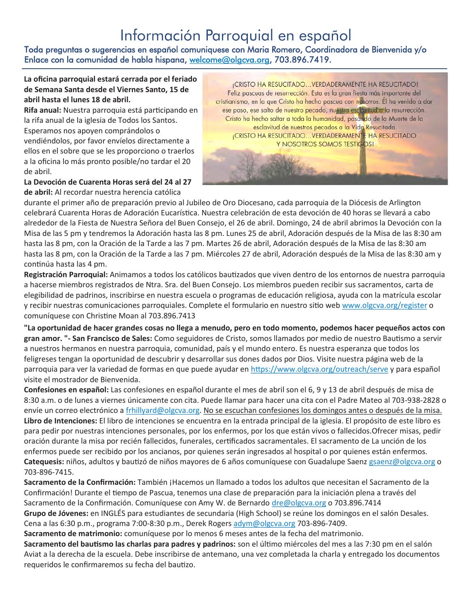### Información Parroquial en español

Toda preguntas o sugerencias en español comuniquese con Maria Romero, Coordinadora de Bienvenida y/o Enlace con la comunidad de habla hispana, [welcome@olgcva.org,](mailto:welcome@olgcva.org) 703.896.7419.

#### **La oficina parroquial estará cerrada por el feriado de Semana Santa desde el Viernes Santo, 15 de abril hasta el lunes 18 de abril.**

**Rifa anual:** Nuestra parroquia está participando en la rifa anual de la iglesia de Todos los Santos. Esperamos nos apoyen comprándolos o vendiéndolos, por favor envíelos directamente a ellos en el sobre que se les proporciono o traerlos a la oficina lo más pronto posible/no tardar el 20 de abril.

#### **La Devoción de Cuarenta Horas será del 24 al 27 de abril:** Al recordar nuestra herencia católica

**¡CRISTO HA RESUCITADO... VERDADERAMENTE HA RESUCITADO!** Feliz pascuas de resurrección. Esta es la gran fiesta más importante del cristianismo, en la que Cristo ha hecho pascua con nosotros. Él ha venido a dar ese paso, ese salto de nuestro pecado, nuestra esclavitud a la resurrección. Cristo ha hecho saltar a toda la humanidad, pasando de la Muerte de la esclavitud de nuestros pecados a la Vida Resucitada. **¡CRISTO HA RESUCITADO... VERDADERAMENTE HA RESUCITADO** Y NOSOTROS SOMOS TESTIGOS!

durante el primer año de preparación previo al Jubileo de Oro Diocesano, cada parroquia de la Diócesis de Arlington celebrará Cuarenta Horas de Adoración Eucarística. Nuestra celebración de esta devoción de 40 horas se llevará a cabo alrededor de la Fiesta de Nuestra Señora del Buen Consejo, el 26 de abril. Domingo, 24 de abril abrimos la Devoción con la Misa de las 5 pm y tendremos la Adoración hasta las 8 pm. Lunes 25 de abril, Adoración después de la Misa de las 8:30 am hasta las 8 pm, con la Oración de la Tarde a las 7 pm. Martes 26 de abril, Adoración después de la Misa de las 8:30 am hasta las 8 pm, con la Oración de la Tarde a las 7 pm. Miércoles 27 de abril, Adoración después de la Misa de las 8:30 am y continúa hasta las 4 pm.

**Registración Parroquial:** Animamos a todos los católicos bautizados que viven dentro de los entornos de nuestra parroquia a hacerse miembros registrados de Ntra. Sra. del Buen Consejo. Los miembros pueden recibir sus sacramentos, carta de elegibilidad de padrinos, inscribirse en nuestra escuela o programas de educación religiosa, ayuda con la matrícula escolar y recibir nuestras comunicaciones parroquiales. Complete el formulario en nuestro sitio web [www.olgcva.org/register](http://www.olgcva.org/register) o comuníquese con Christine Moan al 703.896.7413

**"La oportunidad de hacer grandes cosas no llega a menudo, pero en todo momento, podemos hacer pequeños actos con gran amor. "- San Francisco de Sales:** Como seguidores de Cristo, somos llamados por medio de nuestro Bautismo a servir a nuestros hermanos en nuestra parroquia, comunidad, país y el mundo entero. Es nuestra esperanza que todos los feligreses tengan la oportunidad de descubrir y desarrollar sus dones dados por Dios. Visite nuestra página web de la parroquia para ver la variedad de formas en que puede ayudar en <https://www.olgcva.org/outreach/serve> y para español visite el mostrador de Bienvenida.

**Confesiones en español:** Las confesiones en español durante el mes de abril son el 6, 9 y 13 de abril después de misa de 8:30 a.m. o de lunes a viernes únicamente con cita. Puede llamar para hacer una cita con el Padre Mateo al 703-938-2828 o envíe un correo electrónico a [frhillyard@olgcva.org.](mailto:frhillyard@olgcva.org) No se escuchan confesiones los domingos antes o después de la misa. **Libro de Intenciones:** El libro de intenciones se encuentra en la entrada principal de la iglesia. El propósito de este libro es para pedir por nuestras intenciones personales, por los enfermos, por los que están vivos o fallecidos.Ofrecer misas, pedir oración durante la misa por recién fallecidos, funerales, certificados sacramentales. El sacramento de La unción de los enfermos puede ser recibido por los ancianos, por quienes serán ingresados al hospital o por quienes están enfermos. **Catequesis:** niños, adultos y bautizó de niños mayores de 6 años comuníquese con Guadalupe Saenz [gsaenz@olgcva.org](mailto:gsaenz@olgcva.org) o 703-896-7415.

**Sacramento de la Confirmación:** También ¡Hacemos un llamado a todos los adultos que necesitan el Sacramento de la Confirmación! Durante el tiempo de Pascua, tenemos una clase de preparación para la iniciación plena a través del Sacramento de la Confirmación. Comuníquese con Amy W. de Bernardo [dre@olgcva.org](mailto:dre@olgcva.org) o 703.896.7414

**Grupo de Jóvenes:** en INGLÉS para estudiantes de secundaria (High School) se reúne los domingos en el salón Desales. Cena a las 6:30 p.m., programa 7:00-8:30 p.m., Derek Rogers [adym@olgcva.org](mailto:adym@olgcva.org) 703-896-7409.

**Sacramento de matrimonio:** comuníquese por lo menos 6 meses antes de la fecha del matrimonio.

**Sacramento del bautismo las charlas para padres y padrinos:** son el último miércoles del mes a las 7:30 pm en el salón Aviat a la derecha de la escuela. Debe inscribirse de antemano, una vez completada la charla y entregado los documentos requeridos le confirmaremos su fecha del bautizo.